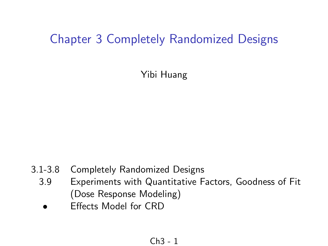## Chapter 3 Completely Randomized Designs

Yibi Huang

- 3.1-3.8 Completely Randomized Designs
	- 3.9 Experiments with Quantitative Factors, Goodness of Fit (Dose Response Modeling)
		- **Effects Model for CRD**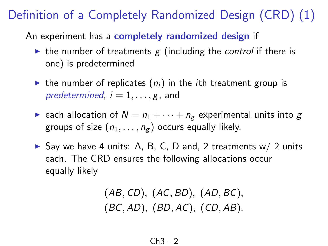An experiment has a completely randomized design if

- In the number of treatments g (including the control if there is one) is predetermined
- In the number of replicates  $(n_i)$  in the *i*th treatment group is predetermined,  $i = 1, \ldots, g$ , and
- **E** each allocation of  $N = n_1 + \cdots + n_g$  experimental units into g groups of size  $(n_1, \ldots, n_g)$  occurs equally likely.
- Say we have 4 units: A, B, C, D and, 2 treatments  $w/2$  units each. The CRD ensures the following allocations occur equally likely

$$
(AB, CD), (AC, BD), (AD, BC), (BC, AD), (BD, AC), (CD, AB).
$$

$$
Ch3-2
$$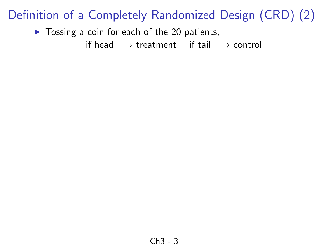$\triangleright$  Tossing a coin for each of the 20 patients,

if head  $\longrightarrow$  treatment, if tail  $\longrightarrow$  control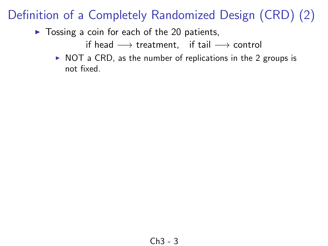$\triangleright$  Tossing a coin for each of the 20 patients,

if head  $\longrightarrow$  treatment, if tail  $\longrightarrow$  control

 $\triangleright$  NOT a CRD, as the number of replications in the 2 groups is not fixed.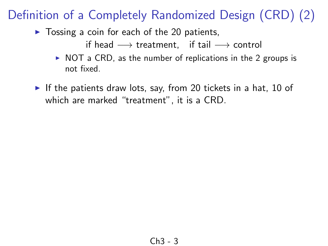$\triangleright$  Tossing a coin for each of the 20 patients,

if head  $\longrightarrow$  treatment, if tail  $\longrightarrow$  control

- $\triangleright$  NOT a CRD, as the number of replications in the 2 groups is not fixed.
- If the patients draw lots, say, from 20 tickets in a hat, 10 of which are marked "treatment", it is a CRD.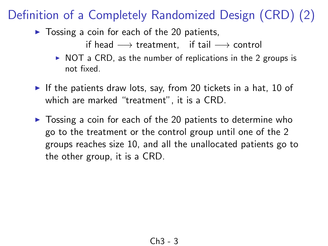- $\triangleright$  Tossing a coin for each of the 20 patients,
	- if head  $\longrightarrow$  treatment, if tail  $\longrightarrow$  control
	- $\triangleright$  NOT a CRD, as the number of replications in the 2 groups is not fixed.
- If the patients draw lots, say, from 20 tickets in a hat, 10 of which are marked "treatment", it is a CRD.
- $\triangleright$  Tossing a coin for each of the 20 patients to determine who go to the treatment or the control group until one of the 2 groups reaches size 10, and all the unallocated patients go to the other group, it is a CRD.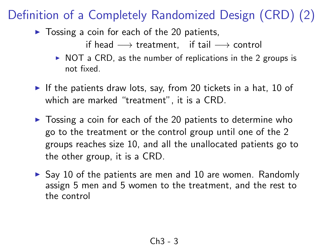- $\triangleright$  Tossing a coin for each of the 20 patients,
	- if head  $\longrightarrow$  treatment, if tail  $\longrightarrow$  control
	- $\triangleright$  NOT a CRD, as the number of replications in the 2 groups is not fixed.
- If the patients draw lots, say, from 20 tickets in a hat, 10 of which are marked "treatment", it is a CRD.
- $\triangleright$  Tossing a coin for each of the 20 patients to determine who go to the treatment or the control group until one of the 2 groups reaches size 10, and all the unallocated patients go to the other group, it is a CRD.
- $\triangleright$  Say 10 of the patients are men and 10 are women. Randomly assign 5 men and 5 women to the treatment, and the rest to the control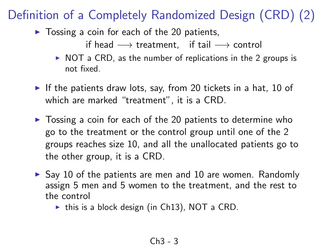- $\triangleright$  Tossing a coin for each of the 20 patients,
	- if head  $\longrightarrow$  treatment, if tail  $\longrightarrow$  control
	- $\triangleright$  NOT a CRD, as the number of replications in the 2 groups is not fixed.
- If the patients draw lots, say, from 20 tickets in a hat, 10 of which are marked "treatment", it is a CRD.
- $\triangleright$  Tossing a coin for each of the 20 patients to determine who go to the treatment or the control group until one of the 2 groups reaches size 10, and all the unallocated patients go to the other group, it is a CRD.
- $\triangleright$  Say 10 of the patients are men and 10 are women. Randomly assign 5 men and 5 women to the treatment, and the rest to the control
	- $\triangleright$  this is a block design (in Ch13), NOT a CRD.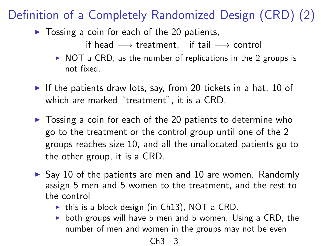$\triangleright$  Tossing a coin for each of the 20 patients,

if head  $\longrightarrow$  treatment, if tail  $\longrightarrow$  control

- $\triangleright$  NOT a CRD, as the number of replications in the 2 groups is not fixed.
- If the patients draw lots, say, from 20 tickets in a hat, 10 of which are marked "treatment", it is a CRD.
- $\triangleright$  Tossing a coin for each of the 20 patients to determine who go to the treatment or the control group until one of the 2 groups reaches size 10, and all the unallocated patients go to the other group, it is a CRD.
- $\triangleright$  Say 10 of the patients are men and 10 are women. Randomly assign 5 men and 5 women to the treatment, and the rest to the control
	- $\triangleright$  this is a block design (in Ch13), NOT a CRD.
	- $\triangleright$  both groups will have 5 men and 5 women. Using a CRD, the number of men and women in the groups may not be even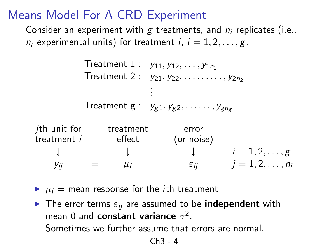## Means Model For A CRD Experiment

Consider an experiment with g treatments, and  $n_i$  replicates (i.e.,  $n_i$  experimental units) for treatment i,  $i = 1, 2, \ldots, g$ .

```
Treatment 1: y_{11}, y_{12}, \ldots, y_{1n_1}Treatment 2 : y_{21}, y_{22}, \ldots, y_{2n_2}.
                           .
                           .
           Treatment g: y_{g1}, y_{g2}, \ldots, y_{gn_g}ith unit for treatment error
treatment i effect (or noise)
     \downarrow \downarrow i = 1, 2, \ldots, gy_{ij} = \mu_i + \varepsilon_{ij} j = 1, 2, ..., n<sub>i</sub>
```
- $\blacktriangleright$   $\mu_i$  = mean response for the *i*th treatment
- **Fig.** The error terms  $\varepsilon_{ij}$  are assumed to be **independent** with mean 0 and constant variance  $\sigma^2$ . Sometimes we further assume that errors are normal.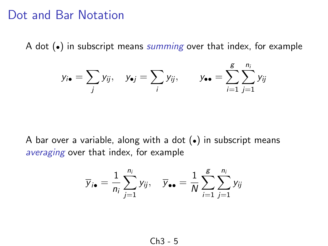#### Dot and Bar Notation

A dot  $\left(\bullet\right)$  in subscript means *summing* over that index, for example

$$
y_{i\bullet} = \sum_j y_{ij}, \quad y_{\bullet j} = \sum_i y_{ij}, \qquad y_{\bullet \bullet} = \sum_{i=1}^g \sum_{j=1}^{n_i} y_{ij}
$$

A bar over a variable, along with a dot (•) in subscript means averaging over that index, for example

$$
\overline{y}_{i\bullet} = \frac{1}{n_i} \sum_{j=1}^{n_i} y_{ij}, \quad \overline{y}_{\bullet \bullet} = \frac{1}{N} \sum_{i=1}^{g} \sum_{j=1}^{n_i} y_{ij}
$$

$$
Ch3-5
$$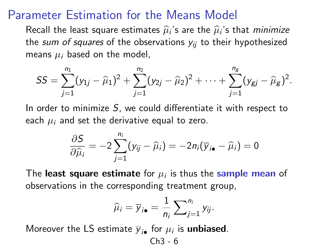#### Parameter Estimation for the Means Model

Recall the least square estimates  $\widehat{\mu}_i$ 's are the  $\widehat{\mu}_i$ 's that *minimize*<br>the *sum of squares* of the observations *y* to their hypothesized the sum of squares of the observations  $y_{ii}$  to their hypothesized means  $\mu_i$  based on the model,

$$
SS = \sum_{j=1}^{n_1} (y_{1j} - \widehat{\mu}_1)^2 + \sum_{j=1}^{n_2} (y_{2j} - \widehat{\mu}_2)^2 + \cdots + \sum_{j=1}^{n_g} (y_{gj} - \widehat{\mu}_g)^2.
$$

In order to minimize  $S$ , we could differentiate it with respect to each  $\mu_i$  and set the derivative equal to zero.

$$
\frac{\partial S}{\partial \widehat{\mu}_i} = -2 \sum_{j=1}^{n_i} (y_{ij} - \widehat{\mu}_i) = -2n_i(\overline{y}_{i\bullet} - \widehat{\mu}_i) = 0
$$

The least square estimate for  $\mu_i$  is thus the sample mean of observations in the corresponding treatment group,

$$
\widehat{\mu}_i = \overline{y}_{i\bullet} = \frac{1}{n_i} \sum_{j=1}^{n_i} y_{ij}.
$$

Moreover the LS estimate  $\overline{y}_{i\bullet}$  for  $\mu_i$  is **unbiased**.

$$
Ch3-6
$$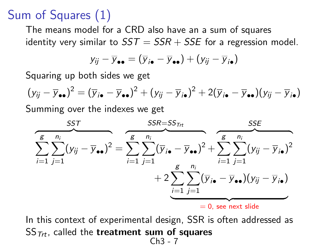# Sum of Squares (1)

The means model for a CRD also have an a sum of squares identity very similar to  $SST = SSR + SSE$  for a regression model.

$$
y_{ij} - \overline{y}_{\bullet \bullet} = (\overline{y}_{i \bullet} - \overline{y}_{\bullet \bullet}) + (y_{ij} - \overline{y}_{i \bullet})
$$

Squaring up both sides we get

 $(y_{ij} - \overline{y}_{\bullet \bullet})^2 = (\overline{y}_{i \bullet} - \overline{y}_{\bullet \bullet})^2 + (y_{ij} - \overline{y}_{i \bullet})^2 + 2(\overline{y}_{i \bullet} - \overline{y}_{\bullet \bullet})(y_{ij} - \overline{y}_{i \bullet})$ Summing over the indexes we get



In this context of experimental design, SSR is often addressed as  $SS_{\text{Trt}}$ , called the treatment sum of squares Ch3 - 7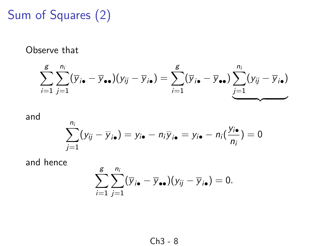# Sum of Squares (2)

Observe that

$$
\sum_{i=1}^{g} \sum_{j=1}^{n_i} (\overline{y}_{i\bullet} - \overline{y}_{\bullet\bullet})(y_{ij} - \overline{y}_{i\bullet}) = \sum_{i=1}^{g} (\overline{y}_{i\bullet} - \overline{y}_{\bullet\bullet}) \underbrace{\sum_{j=1}^{n_i} (y_{ij} - \overline{y}_{i\bullet})}_{\underbrace{\longrightarrow}}
$$

and

$$
\sum_{j=1}^{n_i} (y_{ij} - \overline{y}_{i\bullet}) = y_{i\bullet} - n_i \overline{y}_{i\bullet} = y_{i\bullet} - n_i (\frac{y_{i\bullet}}{n_i}) = 0
$$

and hence

$$
\sum_{i=1}^{g}\sum_{j=1}^{n_i}(\overline{y}_{i\bullet}-\overline{y}_{\bullet\bullet})(y_{ij}-\overline{y}_{i\bullet})=0.
$$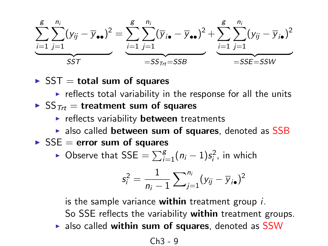$$
\underbrace{\sum_{i=1}^{g} \sum_{j=1}^{n_i} (y_{ij} - \overline{y}_{\bullet \bullet})^2}_{SST} = \underbrace{\sum_{i=1}^{g} \sum_{j=1}^{n_i} (\overline{y}_{i \bullet} - \overline{y}_{\bullet \bullet})^2}_{=SS_{Trt} = SSB} + \underbrace{\sum_{i=1}^{g} \sum_{j=1}^{n_i} (y_{ij} - \overline{y}_{i \bullet})^2}_{=SSE = SSW}
$$

 $\triangleright$  SST = total sum of squares

- $\triangleright$  reflects total variability in the response for all the units
- $\triangleright$  SS<sub>Ttt</sub> = treatment sum of squares
	- $\blacktriangleright$  reflects variability **between** treatments
	- $\triangleright$  also called between sum of squares, denoted as SSB
- $\triangleright$  SSE = error sum of squares
	- ► Observe that SSE  $= \sum_{i=1}^{g} (n_i 1)s_i^2$ , in which

$$
s_i^2 = \frac{1}{n_i-1} \sum_{j=1}^{n_i} (y_{ij} - \overline{y}_{i\bullet})^2
$$

is the sample variance within treatment group  $i$ . So SSE reflects the variability within treatment groups.  $\triangleright$  also called within sum of squares, denoted as SSW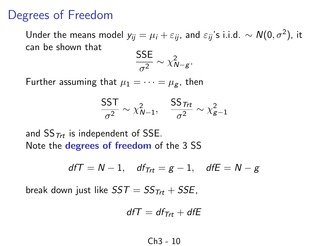### Degrees of Freedom

Under the means model  $y_{ij} = \mu_i + \varepsilon_{ij}$ , and  $\varepsilon_{ij}$ 's i.i.d.  $\sim \mathcal{N}(0, \sigma^2)$ , it can be shown that

$$
\frac{\mathsf{SSE}}{\sigma^2} \sim \chi^2_{N-g}.
$$

Further assuming that  $\mu_1 = \cdots = \mu_g$ , then

$$
\frac{\mathsf{SST}}{\sigma^2} \sim \chi^2_{N-1}, \quad \frac{\mathsf{SS}_{\mathit{Trt}}}{\sigma^2} \sim \chi^2_{g-1}
$$

and  $SS_{\tau_{\text{r}}t}$  is independent of SSE. Note the **degrees of freedom** of the 3 SS

$$
d f T = N-1, \quad df_{Trt} = g-1, \quad df E = N-g
$$

break down just like  $SST = SS_{Trt} + SSE$ ,

$$
d f T = d f_{Trt} + d f E
$$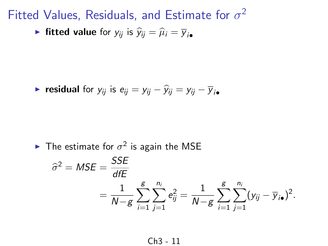Fitted Values, Residuals, and Estimate for  $\sigma^2$ 

• fitted value for 
$$
y_{ij}
$$
 is  $\hat{y}_{ij} = \hat{\mu}_i = \overline{y}_{i\bullet}$ 

$$
\blacktriangleright \text{ residual for } y_{ij} \text{ is } e_{ij} = y_{ij} - \widehat{y}_{ij} = y_{ij} - \overline{y}_{i\bullet}
$$

• The estimate for 
$$
\sigma^2
$$
 is again the MSE

$$
\hat{\sigma}^2 = MSE = \frac{SSE}{dE} = \frac{1}{N - g} \sum_{i=1}^{g} \sum_{j=1}^{n_i} e_{ij}^2 = \frac{1}{N - g} \sum_{i=1}^{g} \sum_{j=1}^{n_i} (y_{ij} - \overline{y}_{i\bullet})^2.
$$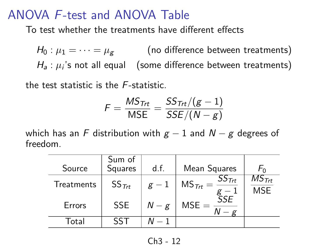### ANOVA F-test and ANOVA Table

To test whether the treatments have different effects

 $H_0: \mu_1 = \cdots = \mu_g$  (no difference between treatments)  $H_{\sf a}$  :  $\mu_i$ 's not all equal  $\;\;$  (some difference between treatments)

the test statistic is the F-statistic.

$$
\digamma = \frac{MS_{\text{Trt}}}{\text{MSE}} = \frac{SS_{\text{Trt}}/(g-1)}{SSE/(N-g)}
$$

which has an F distribution with  $g - 1$  and  $N - g$  degrees of freedom.

| Source     | Sum of<br>Squares | d.f.  | Mean Squares                                  | ∽ດ                                 |
|------------|-------------------|-------|-----------------------------------------------|------------------------------------|
| Treatments | $SS_{\text{Trt}}$ | $g-1$ | $SS_{\mathcal{T}\!rt}$<br>$MS_{\text{Trt}} =$ | $MS_{\mathcal{I}tt}$<br><b>MSE</b> |
| Errors     | <b>SSE</b>        | $N-g$ | ŚSE<br>$MSE =$                                |                                    |
| Total      |                   |       |                                               |                                    |

$$
Ch3-12
$$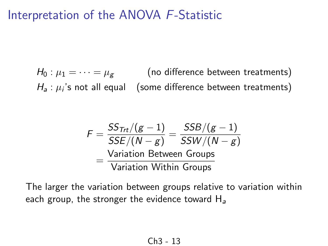### Interpretation of the ANOVA F-Statistic

 $H_0: \mu_1 = \cdots = \mu_{\mathfrak{g}}$  (no difference between treatments)  $H_{\sf a}$  :  $\mu_i$ 's not all equal  $\;\;$  (some difference between treatments)

$$
F = \frac{SS_{Trt}/(g-1)}{SSE/(N-g)} = \frac{SSB/(g-1)}{SSW/(N-g)}
$$
  
= 
$$
\frac{\text{Variation Between Groups}}{\text{Variation Within Groups}}
$$

The larger the variation between groups relative to variation within each group, the stronger the evidence toward  $H_a$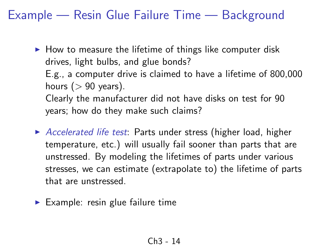Example — Resin Glue Failure Time — Background

- $\blacktriangleright$  How to measure the lifetime of things like computer disk drives, light bulbs, and glue bonds? E.g., a computer drive is claimed to have a lifetime of 800,000 hours ( $> 90$  years). Clearly the manufacturer did not have disks on test for 90 years; how do they make such claims?
- $\triangleright$  Accelerated life test: Parts under stress (higher load, higher temperature, etc.) will usually fail sooner than parts that are unstressed. By modeling the lifetimes of parts under various stresses, we can estimate (extrapolate to) the lifetime of parts that are unstressed.
- $\blacktriangleright$  Example: resin glue failure time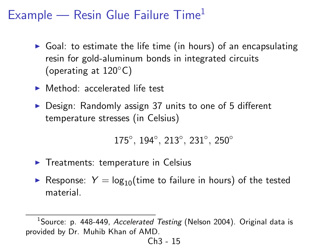## Example — Resin Glue Failure  $Time<sup>1</sup>$

- $\triangleright$  Goal: to estimate the life time (in hours) of an encapsulating resin for gold-aluminum bonds in integrated circuits (operating at 120◦C)
- $\blacktriangleright$  Method: accelerated life test
- $\triangleright$  Design: Randomly assign 37 units to one of 5 different temperature stresses (in Celsius)

175°, 194°, 213°, 231°, 250°

- $\blacktriangleright$  Treatments: temperature in Celsius
- Response:  $Y = \log_{10}(\text{time to failure in hours})$  of the tested material.

<sup>&</sup>lt;sup>1</sup>Source: p. 448-449, Accelerated Testing (Nelson 2004). Original data is provided by Dr. Muhib Khan of AMD.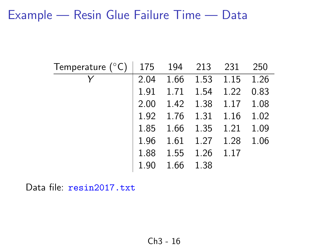### Example — Resin Glue Failure Time — Data

| Temperature $(^{\circ}C)$   175 |      | 194 213 231            |           |                          | 250  |
|---------------------------------|------|------------------------|-----------|--------------------------|------|
|                                 |      |                        |           | 2.04 1.66 1.53 1.15      | 1.26 |
|                                 |      | 1.91  1.71  1.54  1.22 |           |                          | 0.83 |
|                                 |      | 2.00 1.42 1.38 1.17    |           |                          | 1.08 |
|                                 |      |                        |           | 1.92 1.76 1.31 1.16 1.02 |      |
|                                 |      |                        |           | 1.85 1.66 1.35 1.21 1.09 |      |
|                                 | 1.96 | 1.61                   | 1.27 1.28 |                          | 1.06 |
|                                 |      | 1.88 1.55              | 1.26      | 1.17                     |      |
|                                 | 1.90 | 1.66                   | 1.38      |                          |      |

Data file: resin2017.txt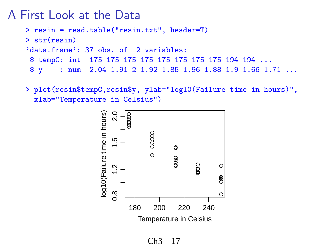#### A First Look at the Data

> resin = read.table("resin.txt", header=T) > str(resin) 'data.frame': 37 obs. of 2 variables: \$ tempC: int 175 175 175 175 175 175 175 175 194 194 ... \$ y : num 2.04 1.91 2 1.92 1.85 1.96 1.88 1.9 1.66 1.71 ...

> plot(resin\$tempC,resin\$y, ylab="log10(Failure time in hours)", xlab="Temperature in Celsius")

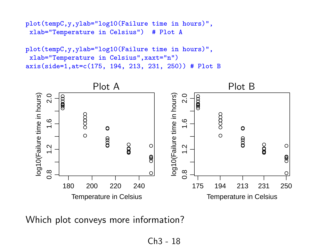```
plot(tempC,y,ylab="log10(Failure time in hours)",<br>xlab="Temperature in Celsius") # Plot A
 xlab="Temperature in Celsius")
```

```
plot(tempC,y,ylab="log10(Failure time in hours)",
 xlab="Temperature in Celsius",xaxt="n")
axis(side=1,at=c(175, 194, 213, 231, 250)) # Plot B
```


Which plot conveys more information?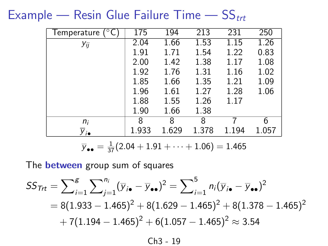Example — Resin Glue Failure Time —  $SS_{trt}$ 

| $\mathfrak{c}^{\circ}\mathbb{C}^{\ast}$<br>Temperature | 175   | 194   | 213   | 231   | 250   |
|--------------------------------------------------------|-------|-------|-------|-------|-------|
| Уij                                                    | 2.04  | 1.66  | 1.53  | 1.15  | 1.26  |
|                                                        | 1.91  | 1.71  | 1.54  | 1.22  | 0.83  |
|                                                        | 2.00  | 1.42  | 1.38  | 1.17  | 1.08  |
|                                                        | 1.92  | 1.76  | 1.31  | 1.16  | 1.02  |
|                                                        | 1.85  | 1.66  | 1.35  | 1.21  | 1.09  |
|                                                        | 1.96  | 1.61  | 1.27  | 1.28  | 1.06  |
|                                                        | 1.88  | 1.55  | 1.26  | 1.17  |       |
|                                                        | 1.90  | 1.66  | 1.38  |       |       |
| n <sub>i</sub>                                         | 8     | 8     | 8     |       | 6     |
| $y_{i\bullet}$                                         | 1.933 | 1.629 | 1.378 | 1.194 | 1.057 |

$$
\overline{y}_{\bullet \bullet} = \frac{1}{37}(2.04 + 1.91 + \cdots + 1.06) = 1.465
$$

The **between** group sum of squares

$$
SS_{\text{Trt}} = \sum_{i=1}^{g} \sum_{j=1}^{n_i} (\overline{y}_{i\bullet} - \overline{y}_{\bullet\bullet})^2 = \sum_{i=1}^{5} n_i (\overline{y}_{i\bullet} - \overline{y}_{\bullet\bullet})^2
$$
  
= 8(1.933 - 1.465)<sup>2</sup> + 8(1.629 - 1.465)<sup>2</sup> + 8(1.378 - 1.465)<sup>2</sup>  
+ 7(1.194 - 1.465)<sup>2</sup> + 6(1.057 - 1.465)<sup>2</sup> \approx 3.54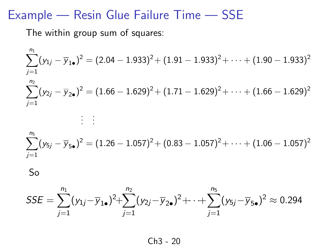### Example — Resin Glue Failure Time — SSE

The within group sum of squares:

$$
\sum_{j=1}^{n_1} (y_{1j} - \overline{y}_{1\bullet})^2 = (2.04 - 1.933)^2 + (1.91 - 1.933)^2 + \dots + (1.90 - 1.933)^2
$$
\n
$$
\sum_{j=1}^{n_2} (y_{2j} - \overline{y}_{2\bullet})^2 = (1.66 - 1.629)^2 + (1.71 - 1.629)^2 + \dots + (1.66 - 1.629)^2
$$
\n
$$
\vdots \quad \vdots
$$
\n
$$
\sum_{j=1}^{n_5} (y_{5j} - \overline{y}_{5\bullet})^2 = (1.26 - 1.057)^2 + (0.83 - 1.057)^2 + \dots + (1.06 - 1.057)^2
$$

So

$$
SSE = \sum_{j=1}^{n_1} (y_{1j} - \overline{y}_{1\bullet})^2 + \sum_{j=1}^{n_2} (y_{2j} - \overline{y}_{2\bullet})^2 + \cdots + \sum_{j=1}^{n_5} (y_{5j} - \overline{y}_{5\bullet})^2 \approx 0.294
$$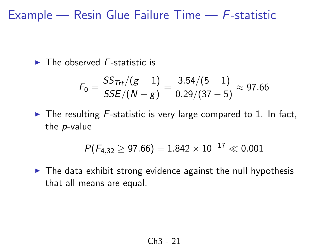Example — Resin Glue Failure Time —  $F$ -statistic

 $\blacktriangleright$  The observed F-statistic is

$$
F_0 = \frac{SS_{\text{Trt}}/(g-1)}{SSE/(N-g)} = \frac{3.54/(5-1)}{0.29/(37-5)} \approx 97.66
$$

 $\triangleright$  The resulting *F*-statistic is very large compared to 1. In fact, the p-value

$$
P(F_{4,32}\geq 97.66)=1.842\times 10^{-17}\ll 0.001
$$

 $\triangleright$  The data exhibit strong evidence against the null hypothesis that all means are equal.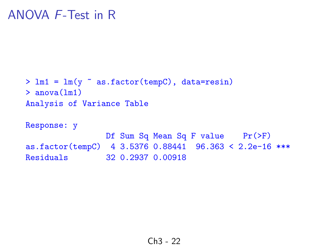```
> lm1 = lm(y ~ as.factor(tempC), data=resin)
> anova(lm1)
Analysis of Variance Table
```
Response: y Df Sum Sq Mean Sq F value Pr(>F) as.factor(tempC) 4 3.5376 0.88441 96.363 < 2.2e-16 \*\*\* Residuals 32 0.2937 0.00918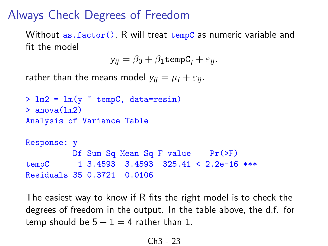### Always Check Degrees of Freedom

Without as. factor(), R will treat tempC as numeric variable and fit the model

$$
y_{ij} = \beta_0 + \beta_1 \text{tempC}_i + \varepsilon_{ij}.
$$

rather than the means model  $y_{ii} = \mu_i + \varepsilon_{ii}$ .

```
> \text{lm2} = \text{lm}(v \text{ cm}) tempC, data=resin)
> anova(lm2)
Analysis of Variance Table
Response: y
          Df Sum Sq Mean Sq F value Pr(>F)
tempC 1 3.4593 3.4593 325.41 < 2.2e-16 ***
Residuals 35 0.3721 0.0106
```
The easiest way to know if R fits the right model is to check the degrees of freedom in the output. In the table above, the d.f. for temp should be  $5 - 1 = 4$  rather than 1.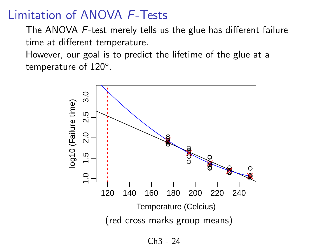### Limitation of ANOVA F-Tests

The ANOVA F-test merely tells us the glue has different failure time at different temperature.

However, our goal is to predict the lifetime of the glue at a temperature of  $120^{\circ}$ .

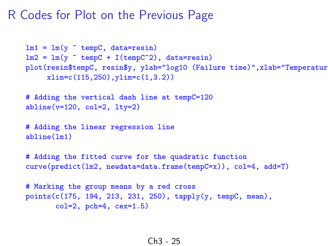#### R Codes for Plot on the Previous Page

```
lm1 = lm(y \text{ cm}C, data=resin)lm2 = lm(y \text{ cmpc} + I(tempC^2)), data=resin)
plot(resin$tempC, resin$y, ylab="log10 (Failure time)", xlab="Temperatur
     xlim=c(115,250),ylim=c(1,3.2))
# Adding the vertical dash line at tempC=120
abline(v=120, col=2, lty=2)# Adding the linear regression line
abline(lm1)
# Adding the fitted curve for the quadratic function
curve(predict(lm2, newdata=data.frame(tempC=x)), col=4, add=T)
# Marking the group means by a red cross
points(c(175, 194, 213, 231, 250), tapply(y, tempC, mean),
       col=2, pch=4, cex=1.5)
```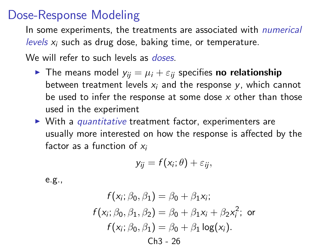### Dose-Response Modeling

In some experiments, the treatments are associated with *numerical* levels  $x_i$  such as drug dose, baking time, or temperature.

We will refer to such levels as *doses*.

- **The means model**  $y_{ij} = \mu_i + \varepsilon_{ij}$  specifies **no relationship** between treatment levels  $x_i$  and the response  $y_i$ , which cannot be used to infer the response at some dose  $x$  other than those used in the experiment
- $\triangleright$  With a *quantitative* treatment factor, experimenters are usually more interested on how the response is affected by the factor as a function of  $x_i$

$$
y_{ij}=f(x_i;\theta)+\varepsilon_{ij},
$$

e.g.,

$$
f(x_i; \beta_0, \beta_1) = \beta_0 + \beta_1 x_i;
$$
  
\n
$$
f(x_i; \beta_0, \beta_1, \beta_2) = \beta_0 + \beta_1 x_i + \beta_2 x_i^2;
$$
 or  
\n
$$
f(x_i; \beta_0, \beta_1) = \beta_0 + \beta_1 \log(x_i).
$$
  
\n
$$
\text{Ch3 - 26}
$$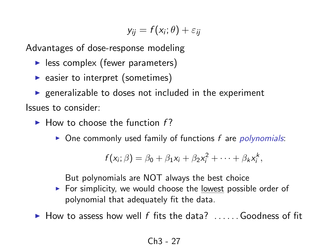$$
y_{ij}=f(x_i;\theta)+\varepsilon_{ij}
$$

Advantages of dose-response modeling

- $\blacktriangleright$  less complex (fewer parameters)
- $\blacktriangleright$  easier to interpret (sometimes)

 $\triangleright$  generalizable to doses not included in the experiment Issues to consider:

- $\blacktriangleright$  How to choose the function f?
	- $\triangleright$  One commonly used family of functions f are *polynomials*:

$$
f(x_i; \beta) = \beta_0 + \beta_1 x_i + \beta_2 x_i^2 + \cdots + \beta_k x_i^k,
$$

But polynomials are NOT always the best choice

- $\triangleright$  For simplicity, we would choose the lowest possible order of polynomial that adequately fit the data.
- $\blacktriangleright$  How to assess how well f fits the data? ...... Goodness of fit

$$
Ch3-27
$$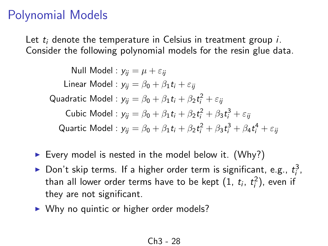## Polynomial Models

Let  $t_i$  denote the temperature in Celsius in treatment group  $i$ . Consider the following polynomial models for the resin glue data.

Null Model :  $y_{ii} = \mu + \varepsilon_{ii}$ Linear Model :  $y_{ii} = \beta_0 + \beta_1 t_i + \varepsilon_{ii}$ Quadratic Model :  $y_{ij} = \beta_0 + \beta_1 t_i + \beta_2 t_i^2 + \varepsilon_{ij}$ Cubic Model :  $y_{ij} = \beta_0 + \beta_1 t_i + \beta_2 t_i^2 + \beta_3 t_i^3 + \varepsilon_{ij}$ Quartic Model :  $y_{ij} = \beta_0 + \beta_1 t_i + \beta_2 t_i^2 + \beta_3 t_i^3 + \beta_4 t_i^4 + \varepsilon_{ij}$ 

- Every model is nested in the model below it. (Why?)
- ▶ Don't skip terms. If a higher order term is significant, e.g.,  $t_i^3$ , than all lower order terms have to be kept  $(1, t_i, t_i^2)$ , even if they are not significant.
- $\triangleright$  Why no quintic or higher order models?

$$
Ch3-28
$$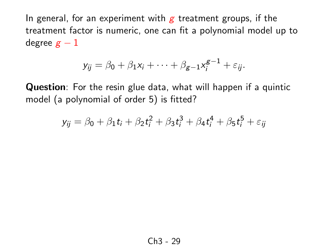In general, for an experiment with  $g$  treatment groups, if the treatment factor is numeric, one can fit a polynomial model up to degree  $g - 1$ 

$$
y_{ij} = \beta_0 + \beta_1 x_i + \cdots + \beta_{g-1} x_i^{g-1} + \varepsilon_{ij}.
$$

Question: For the resin glue data, what will happen if a quintic model (a polynomial of order 5) is fitted?

$$
y_{ij} = \beta_0 + \beta_1 t_i + \beta_2 t_i^2 + \beta_3 t_i^3 + \beta_4 t_i^4 + \beta_5 t_i^5 + \varepsilon_{ij}
$$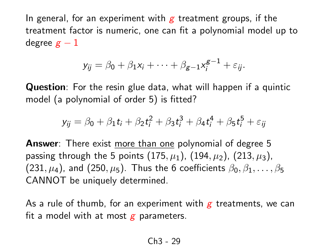In general, for an experiment with  $g$  treatment groups, if the treatment factor is numeric, one can fit a polynomial model up to degree  $g - 1$ 

$$
y_{ij} = \beta_0 + \beta_1 x_i + \cdots + \beta_{g-1} x_i^{g-1} + \varepsilon_{ij}.
$$

Question: For the resin glue data, what will happen if a quintic model (a polynomial of order 5) is fitted?

$$
y_{ij} = \beta_0 + \beta_1 t_i + \beta_2 t_i^2 + \beta_3 t_i^3 + \beta_4 t_i^4 + \beta_5 t_i^5 + \varepsilon_{ij}
$$

Answer: There exist more than one polynomial of degree 5 passing through the 5 points  $(175, \mu_1)$ ,  $(194, \mu_2)$ ,  $(213, \mu_3)$ , (231,  $\mu$ <sub>4</sub>), and (250,  $\mu$ <sub>5</sub>). Thus the 6 coefficients  $\beta_0, \beta_1, \ldots, \beta_5$ CANNOT be uniquely determined.

As a rule of thumb, for an experiment with  $g$  treatments, we can fit a model with at most  $g$  parameters.

$$
Ch3-29
$$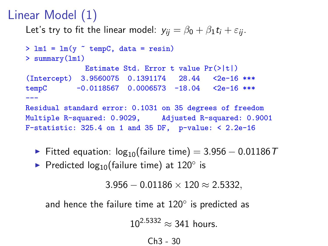## Linear Model (1)

Let's try to fit the linear model:  $y_{ij} = \beta_0 + \beta_1 t_i + \varepsilon_{ii}$ .

```
> \text{lm1} = \text{lm}(y \text{ cmpc}, \text{data} = \text{resin})> summary(lm1)
              Estimate Std. Error t value Pr(>|t|)
(Intercept) 3.9560075 0.1391174 28.44 <2e-16 ***
tempC -0.0118567 0.0006573 -18.04 <2e-16 ***
---
Residual standard error: 0.1031 on 35 degrees of freedom
Multiple R-squared: 0.9029, Adjusted R-squared: 0.9001
F-statistic: 325.4 on 1 and 35 DF, p-value: < 2.2e-16
```
- Fitted equation:  $log_{10}($ failure time) = 3.956 0.01186 T
- ▶ Predicted log<sub>10</sub>(failure time) at 120 $^{\circ}$  is

 $3.956 - 0.01186 \times 120 \approx 2.5332$ 

and hence the failure time at  $120^{\circ}$  is predicted as

 $10^{2.5332} \approx 341$  hours.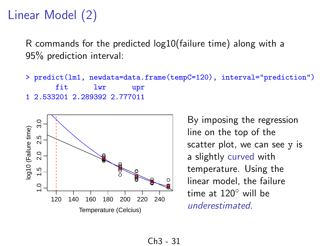## Linear Model (2)

R commands for the predicted log10(failure time) along with a 95% prediction interval:

> predict(lm1, newdata=data.frame(tempC=120), interval="prediction") fit lwr upr 1 2.533201 2.289392 2.777011



By imposing the regression line on the top of the scatter plot, we can see y is a slightly curved with temperature. Using the linear model, the failure time at 120◦ will be underestimated.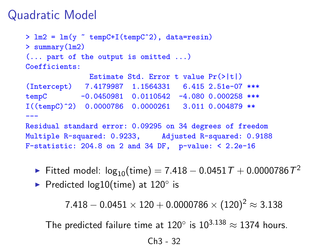### Quadratic Model

```
> \text{lm2} = \text{lm}(y \text{ cm}) - \text{tempC+I}(\text{tempC}^2), data=resin)
> summary(lm2)
(... part of the output is omitted ...)
Coefficients:
               Estimate Std. Error t value Pr(>|t|)
(Intercept) 7.4179987 1.1564331 6.415 2.51e-07 ***
tempC -0.0450981 0.0110542 -4.080 0.000258 ***
I((tempC)^2) 0.0000786 0.0000261 3.011 0.004879 **
---
Residual standard error: 0.09295 on 34 degrees of freedom
Multiple R-squared: 0.9233, Adjusted R-squared: 0.9188
F-statistic: 204.8 on 2 and 34 DF, p-value: < 2.2e-16
```
► Fitted model: log $_{10}$ (time)  $=7.418-0.0451\,\mathcal{T}+0.0000786\,\mathcal{T}^2$ 

▶ Predicted log10(time) at 120° is

 $7.418 - 0.0451 \times 120 + 0.0000786 \times (120)^2 \approx 3.138$ 

The predicted failure time at 120 $^{\circ}$  is 10<sup>3.138</sup>  $\approx$  1374 hours.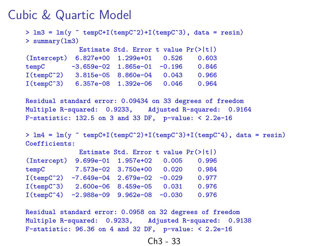#### Cubic & Quartic Model

```
> \text{lm3} = \text{lm}(y \text{ m} \text{tempC+I}(\text{tempC}^2)+I(\text{tempC}^3)), data = resin)
> summary(lm3)
              Estimate Std. Error t value Pr(>|t|)
(Intercept) 6.827e+00 1.299e+01 0.526 0.603
tempC -3.659e-02 1.865e-01 -0.196 0.846
I(tempC^2) 3.815e-05 8.860e-04 0.043 0.966
I(tempC^3) 6.357e-08 1.392e-06 0.046 0.964
```
Residual standard error: 0.09434 on 33 degrees of freedom Multiple R-squared: 0.9233, Adjusted R-squared: 0.9164 F-statistic:  $132.5$  on 3 and 33 DF, p-value:  $< 2.2e-16$ 

 $> \text{lm4} = \text{lm}(v \text{ cm}^{-1}(\text{tempC}^{-2})+I(\text{tempC}^{-3})+I(\text{tempC}^{-4}), \text{ data} = \text{resin})$ Coefficients:

|                     |                                 | Estimate Std. Error t value $Pr(>\vert t \vert)$ |       |       |
|---------------------|---------------------------------|--------------------------------------------------|-------|-------|
| (Intercept)         |                                 | 9.699e-01 1.957e+02                              | 0.005 | 0.996 |
| tempC               |                                 | 7.573e-02 3.750e+00                              | 0.020 | 0.984 |
| $I(\text{temp}C^2)$ | $-7.649e-04$ 2.679e-02 $-0.029$ |                                                  |       | 0.977 |
| $I(\text{temp}C^3)$ |                                 | 2.600e-06 8.459e-05                              | 0.031 | 0.976 |
| $I(\text{tempC}^4)$ |                                 | $-2.988e-09$ 9.962e-08 $-0.030$                  |       | 0.976 |

Residual standard error: 0.0958 on 32 degrees of freedom Multiple R-squared: 0.9233, Adjusted R-squared: 0.9138 F-statistic:  $96.36$  on 4 and 32 DF, p-value:  $< 2.2e-16$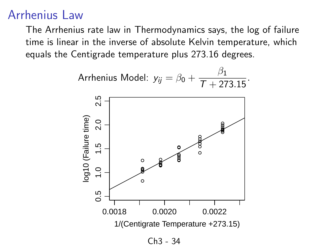### Arrhenius Law

The Arrhenius rate law in Thermodynamics says, the log of failure time is linear in the inverse of absolute Kelvin temperature, which equals the Centigrade temperature plus 273.16 degrees.

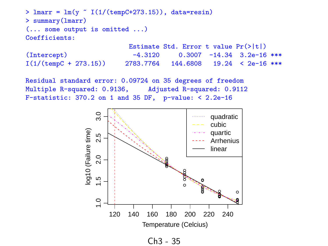```
> lmarr = lm(y \text{ (1/(tempC+273.15))}, data=resin)> summary(lmarr)
(... some output is omitted ...)
Coefficients:
                            Estimate Std. Error t value Pr(>|t|)
```

| (Intercept)                    | $-4.3120$ |  | $0.3007 -14.34$ 3.2e-16 ***                  |
|--------------------------------|-----------|--|----------------------------------------------|
| $I(1/(\text{tempC} + 273.15))$ |           |  | $2783.7764$ $144.6808$ $19.24$ < $2e-16$ *** |

Residual standard error: 0.09724 on 35 degrees of freedom Multiple R-squared: 0.9136, Adjusted R-squared: 0.9112 F-statistic:  $370.2$  on 1 and  $35$  DF, p-value: <  $2.2e-16$ 



Ch3 - 35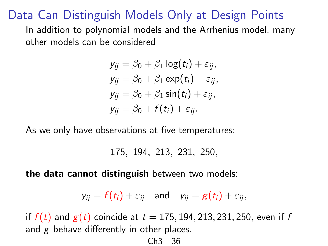### Data Can Distinguish Models Only at Design Points

In addition to polynomial models and the Arrhenius model, many other models can be considered

$$
y_{ij} = \beta_0 + \beta_1 \log(t_i) + \varepsilon_{ij},
$$
  
\n
$$
y_{ij} = \beta_0 + \beta_1 \exp(t_i) + \varepsilon_{ij},
$$
  
\n
$$
y_{ij} = \beta_0 + \beta_1 \sin(t_i) + \varepsilon_{ij},
$$
  
\n
$$
y_{ij} = \beta_0 + f(t_i) + \varepsilon_{ij}.
$$

As we only have observations at five temperatures:

175, 194, 213, 231, 250,

the data cannot distinguish between two models:

$$
y_{ij} = f(t_i) + \varepsilon_{ij}
$$
 and  $y_{ij} = g(t_i) + \varepsilon_{ij}$ ,

if  $f(t)$  and  $g(t)$  coincide at  $t = 175, 194, 213, 231, 250$ , even if f and  $g$  behave differently in other places.

$$
Ch3-36
$$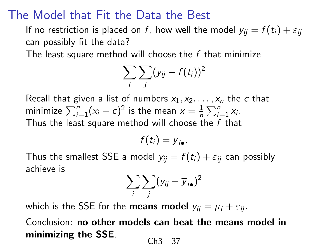### The Model that Fit the Data the Best

If no restriction is placed on f, how well the model  $y_{ij} = f(t_i) + \varepsilon_{ij}$ can possibly fit the data?

The least square method will choose the  $f$  that minimize

$$
\sum_i \sum_j (y_{ij} - f(t_i))^2
$$

Recall that given a list of numbers  $x_1, x_2, \ldots, x_n$  the c that minimize  $\sum_{i=1}^n (x_i - c)^2$  is the mean  $\overline{x} = \frac{1}{n}$  $\frac{1}{n} \sum_{i=1}^{n} x_i$ . Thus the least square method will choose the  $f$  that

$$
f(t_i)=\overline{y}_{i\bullet}.
$$

Thus the smallest SSE a model  $y_{ij} = f(t_i) + \varepsilon_{ii}$  can possibly achieve is

$$
\sum_i \sum_j (y_{ij} - \overline{y}_{i\bullet})^2
$$

which is the SSE for the **means model**  $y_{ii} = \mu_i + \varepsilon_{ii}$ .

Conclusion: no other models can beat the means model in minimizing the SSE. Ch3 - 37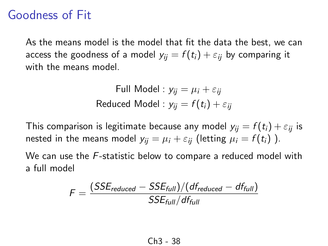### Goodness of Fit

As the means model is the model that fit the data the best, we can access the goodness of a model  $y_{ii} = f(t_i) + \varepsilon_{ii}$  by comparing it with the means model

Full Model : 
$$
y_{ij} = \mu_i + \varepsilon_{ij}
$$
  
Reduced Model :  $y_{ij} = f(t_i) + \varepsilon_{ij}$ 

This comparison is legitimate because any model  $y_{ii} = f(t_i) + \varepsilon_{ii}$  is nested in the means model  $y_{ij} = \mu_i + \varepsilon_{ij}$  (letting  $\mu_i = f(t_i)$ ).

We can use the F-statistic below to compare a reduced model with a full model

$$
F = \frac{(SSE_{reduced} - SSE_{full})/(df_{reduced} - df_{full})}{SSE_{full}/df_{full}}
$$

$$
Ch3-38
$$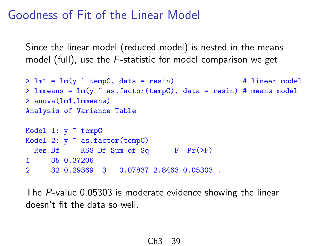### Goodness of Fit of the Linear Model

Since the linear model (reduced model) is nested in the means model (full), use the F-statistic for model comparison we get

```
> \text{lm1} = \text{lm}(y \text{ cm}^{-1} \text{ cm}^{-1}) \qquad \qquad \text{m2} = \text{lm1} # linear model
> lmmeans = lm(y \text{ s}.factortempC), data = resin) # means model
> anova(lm1,lmmeans)
Analysis of Variance Table
Model 1: y " tempC
```

```
Model 2: y \tilde{ } as.factor(tempC)
 Res.Df RSS Df Sum of Sq F Pr(>F)1 35 0.37206
2 32 0.29369 3 0.07837 2.8463 0.05303 .
```
The P-value 0.05303 is moderate evidence showing the linear doesn't fit the data so well.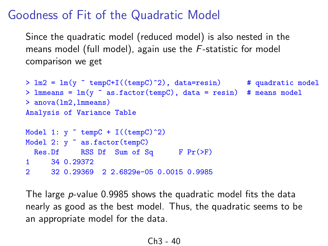### Goodness of Fit of the Quadratic Model

Since the quadratic model (reduced model) is also nested in the means model (full model), again use the F-statistic for model comparison we get

```
> lm2 = lm(y \sim tempC+I((tempC)\sim2), data=resin) # quadratic model
> lmmeans = \text{lm}(y \text{ s}.factortempC), data = resin) # means model
> anova(lm2,lmmeans)
Analysis of Variance Table
Model 1: y \tilde{ } tempC + I((tempC)\tilde{ }2)
Model 2: y \uparrow as.factor(tempC)Res.Df RSS Df Sum of Sq F Pr(\ge F)1 34 0.29372
2 32 0.29369 2 2.6829e-05 0.0015 0.9985
```
The large p-value 0.9985 shows the quadratic model fits the data nearly as good as the best model. Thus, the quadratic seems to be an appropriate model for the data.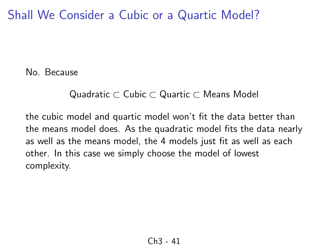Shall We Consider a Cubic or a Quartic Model?

No. Because

#### Quadratic ⊂ Cubic ⊂ Quartic ⊂ Means Model

the cubic model and quartic model won't fit the data better than the means model does. As the quadratic model fits the data nearly as well as the means model, the 4 models just fit as well as each other. In this case we simply choose the model of lowest complexity.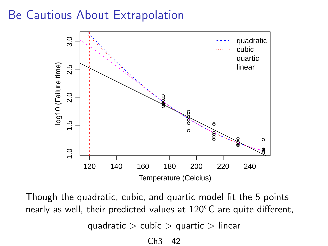### Be Cautious About Extrapolation



Though the quadratic, cubic, and quartic model fit the 5 points nearly as well, their predicted values at 120<sup>°</sup>C are quite different,

quadratic  $>$  cubic  $>$  quartic  $>$  linear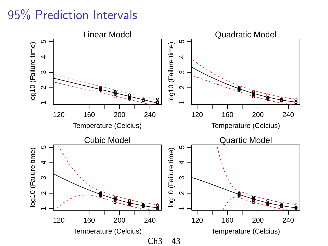### 95% Prediction Intervals

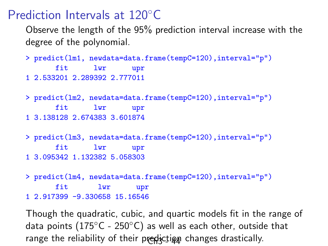### Prediction Intervals at 120◦C

Observe the length of the 95% prediction interval increase with the degree of the polynomial.

```
> predict(lm1, newdata=data.frame(tempC=120),interval="p")
      fit lwr upr
1 2.533201 2.289392 2.777011
```
> predict(lm2, newdata=data.frame(tempC=120),interval="p") fit lwr upr 1 3.138128 2.674383 3.601874

> predict(lm3, newdata=data.frame(tempC=120),interval="p") fit lwr upr 1 3.095342 1.132382 5.058303

> predict(lm4, newdata=data.frame(tempC=120),interval="p") fit lwr upr 1 2.917399 -9.330658 15.16546

Though the quadratic, cubic, and quartic models fit in the range of data points (175 $\degree$ C - 250 $\degree$ C) as well as each other, outside that range the reliability of their prediction changes drastically.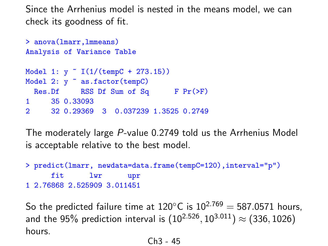Since the Arrhenius model is nested in the means model, we can check its goodness of fit.

```
> anova(lmarr,lmmeans)
Analysis of Variance Table
Model 1: y ~ I(1/(tempC + 273.15))
Model 2: y \tilde{\ } as.factor(tempC)
 Res.Df RSS Df Sum of Sq F Pr(>F)
1 35 0.33093
2 32 0.29369 3 0.037239 1.3525 0.2749
```
The moderately large P-value 0.2749 told us the Arrhenius Model is acceptable relative to the best model.

> predict(lmarr, newdata=data.frame(tempC=120),interval="p") fit lwr upr 1 2.76868 2.525909 3.011451

So the predicted failure time at  $120^{\circ}$ C is  $10^{2.769} = 587.0571$  hours. and the 95% prediction interval is  $(10^{2.526},10^{3.011}) \approx (336,1026)$ hours.

$$
Ch3-45
$$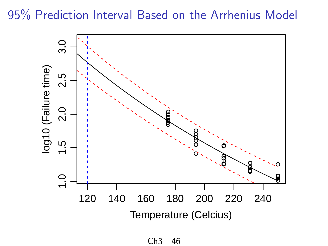95% Prediction Interval Based on the Arrhenius Model

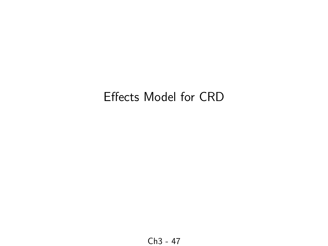# Effects Model for CRD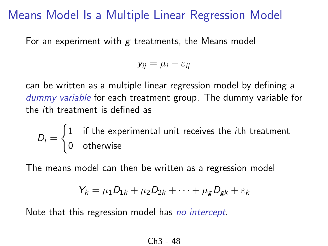### Means Model Is a Multiple Linear Regression Model

For an experiment with  $g$  treatments, the Means model

$$
y_{ij} = \mu_i + \varepsilon_{ij}
$$

can be written as a multiple linear regression model by defining a dummy variable for each treatment group. The dummy variable for the ith treatment is defined as

 $D_i =$  $\int 1$  if the experimental unit receives the *i*th treatment 0 otherwise

The means model can then be written as a regression model

$$
Y_k = \mu_1 D_{1k} + \mu_2 D_{2k} + \cdots + \mu_g D_{gk} + \varepsilon_k
$$

Note that this regression model has no intercept.

$$
Ch3-48
$$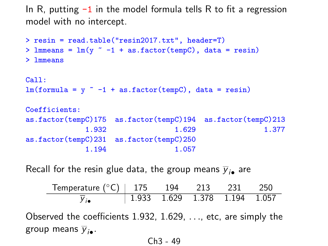In R, putting  $-1$  in the model formula tells R to fit a regression model with no intercept.

```
> resin = read.table("resin2017.txt", header=T)
> lmmeans = lm(y \sim -1 + as.factor(tempC)), data = resin)
> lmmeans
Call:
lm(formula = y^ -1 + as.factor(tempC), data = resin)Coefficients:
as.factor(tempC)175 as.factor(tempC)194 as.factor(tempC)213
            1.932 1.629 1.377
as.factor(tempC)231 as.factor(tempC)250
            1.194 1.057
```
Recall for the resin glue data, the group means  $\overline{\mathsf{y}}_{i\bullet}$  are

| Temperature $(^{\circ}C)$   175 194 213 231 250         |  |  |                    |
|---------------------------------------------------------|--|--|--------------------|
| $\overline{y}_{i\bullet}$ 1.933 1.629 1.378 1.194 1.057 |  |  |                    |
| conied the coefficients 1.032, 1.620                    |  |  | otc are simply the |

Observed the coefficients  $1.932, 1.629, \ldots$ , etc, are simply the group means  $\overline{y}_{i\bullet}$ .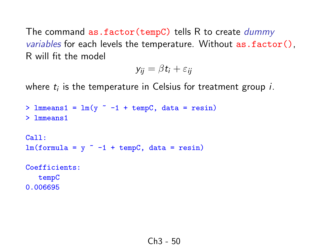The command as.factor(tempC) tells R to create dummy variables for each levels the temperature. Without as.factor(), R will fit the model

$$
y_{ij} = \beta t_i + \varepsilon_{ij}
$$

where  $t_i$  is the temperature in Celsius for treatment group  $i.$ 

```
> lmmeans1 = lm(y - 1 + tempC, data = resin)> lmmeans1
Call:
lm(formula = y ~ -1 + tempC, data = resin)
Coefficients:
  tempC
```
0.006695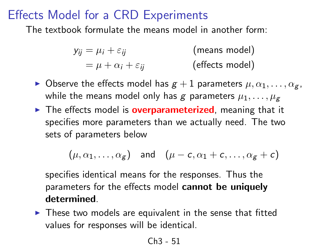### Effects Model for a CRD Experiments

The textbook formulate the means model in another form:

$$
y_{ij} = \mu_i + \varepsilon_{ij}
$$
 (means model)  
=  $\mu + \alpha_i + \varepsilon_{ij}$  (effects model)

- $\triangleright$  Observe the effects model has  $g + 1$  parameters  $\mu, \alpha_1, \ldots, \alpha_g$ , while the means model only has g parameters  $\mu_1, \ldots, \mu_g$
- $\triangleright$  The effects model is **overparameterized**, meaning that it specifies more parameters than we actually need. The two sets of parameters below

$$
(\mu, \alpha_1, \ldots, \alpha_g) \quad \text{and} \quad (\mu - c, \alpha_1 + c, \ldots, \alpha_g + c)
$$

specifies identical means for the responses. Thus the parameters for the effects model cannot be uniquely determined.

 $\blacktriangleright$  These two models are equivalent in the sense that fitted values for responses will be identical.

$$
Ch3-51
$$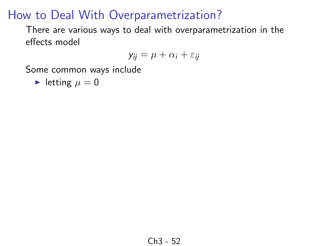There are various ways to deal with overparametrization in the effects model

$$
y_{ij} = \mu + \alpha_i + \varepsilon_{ij}
$$

Some common ways include

letting  $\mu = 0$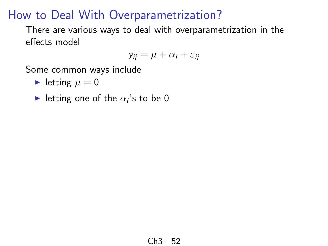There are various ways to deal with overparametrization in the effects model

$$
y_{ij} = \mu + \alpha_i + \varepsilon_{ij}
$$

- letting  $\mu = 0$
- letting one of the  $\alpha_i$ 's to be 0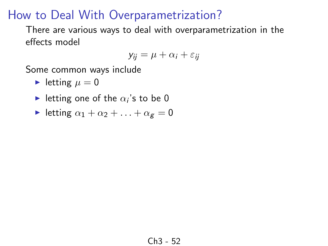There are various ways to deal with overparametrization in the effects model

$$
y_{ij} = \mu + \alpha_i + \varepsilon_{ij}
$$

- letting  $\mu = 0$
- letting one of the  $\alpha_i$ 's to be 0
- In letting  $\alpha_1 + \alpha_2 + \ldots + \alpha_g = 0$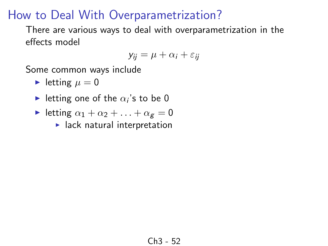There are various ways to deal with overparametrization in the effects model

$$
y_{ij} = \mu + \alpha_i + \varepsilon_{ij}
$$

- letting  $\mu = 0$
- letting one of the  $\alpha_i$ 's to be 0
- In letting  $\alpha_1 + \alpha_2 + \ldots + \alpha_g = 0$ 
	- $\blacktriangleright$  lack natural interpretation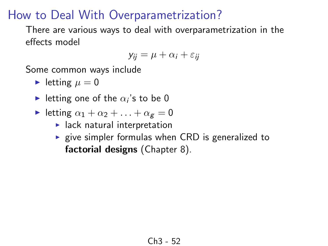There are various ways to deal with overparametrization in the effects model

$$
y_{ij} = \mu + \alpha_i + \varepsilon_{ij}
$$

- letting  $\mu = 0$
- letting one of the  $\alpha_i$ 's to be 0
- In letting  $\alpha_1 + \alpha_2 + \ldots + \alpha_g = 0$ 
	- $\blacktriangleright$  lack natural interpretation
	- $\triangleright$  give simpler formulas when CRD is generalized to factorial designs (Chapter 8).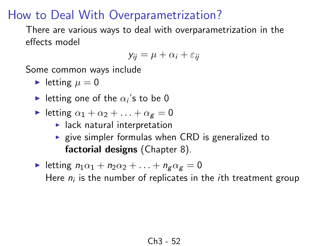There are various ways to deal with overparametrization in the effects model

$$
y_{ij} = \mu + \alpha_i + \varepsilon_{ij}
$$

- letting  $\mu = 0$
- letting one of the  $\alpha_i$ 's to be 0
- In letting  $\alpha_1 + \alpha_2 + \ldots + \alpha_g = 0$ 
	- $\blacktriangleright$  lack natural interpretation
	- $\triangleright$  give simpler formulas when CRD is generalized to factorial designs (Chapter 8).
- In letting  $n_1\alpha_1 + n_2\alpha_2 + \ldots + n_g\alpha_g = 0$ Here  $n_i$  is the number of replicates in the *i*th treatment group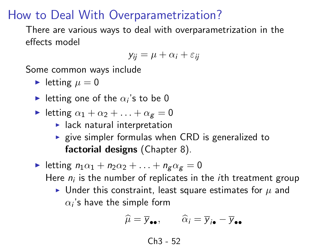There are various ways to deal with overparametrization in the effects model

$$
y_{ij} = \mu + \alpha_i + \varepsilon_{ij}
$$

Some common ways include

- letting  $\mu = 0$
- letting one of the  $\alpha_i$ 's to be 0
- In letting  $\alpha_1 + \alpha_2 + \ldots + \alpha_g = 0$ 
	- $\blacktriangleright$  lack natural interpretation
	- $\triangleright$  give simpler formulas when CRD is generalized to factorial designs (Chapter 8).
- In letting  $n_1\alpha_1 + n_2\alpha_2 + \ldots + n_g\alpha_g = 0$ Here  $n_i$  is the number of replicates in the *i*th treatment group
	- If Under this constraint, least square estimates for  $\mu$  and  $\alpha_i$ 's have the simple form

$$
\widehat{\mu} = \overline{y}_{\bullet \bullet}, \qquad \widehat{\alpha}_i = \overline{y}_{i \bullet} - \overline{y}_{\bullet \bullet}
$$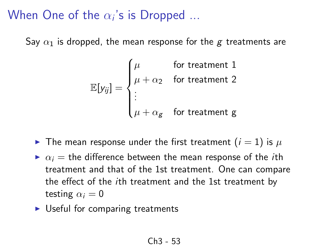# When One of the  $\alpha_i$ 's is Dropped  $...$

Say  $\alpha_1$  is dropped, the mean response for the g treatments are

$$
\mathbb{E}[y_{ij}] = \begin{cases} \mu & \text{for treatment 1} \\ \mu + \alpha_2 & \text{for treatment 2} \\ \vdots & \\ \mu + \alpha_g & \text{for treatment g} \end{cases}
$$

- $\blacktriangleright$  The mean response under the first treatment  $(i = 1)$  is  $\mu$
- $\triangleright$   $\alpha_i$  = the difference between the mean response of the *i*th treatment and that of the 1st treatment. One can compare the effect of the ith treatment and the 1st treatment by testing  $\alpha_i = 0$
- $\triangleright$  Useful for comparing treatments